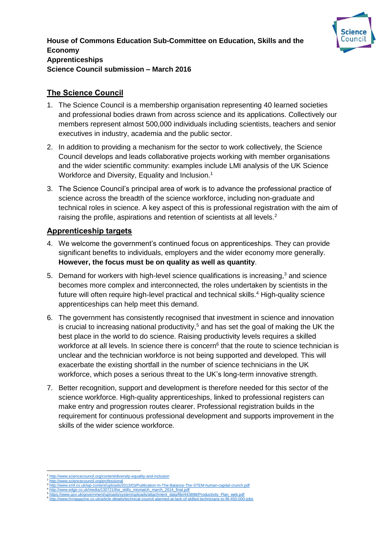

### **The Science Council**

- 1. The Science Council is a membership organisation representing 40 learned societies and professional bodies drawn from across science and its applications. Collectively our members represent almost 500,000 individuals including scientists, teachers and senior executives in industry, academia and the public sector.
- 2. In addition to providing a mechanism for the sector to work collectively, the Science Council develops and leads collaborative projects working with member organisations and the wider scientific community: examples include LMI analysis of the UK Science Workforce and Diversity, Equality and Inclusion.<sup>1</sup>
- 3. The Science Council's principal area of work is to advance the professional practice of science across the breadth of the science workforce, including non-graduate and technical roles in science. A key aspect of this is professional registration with the aim of raising the profile, aspirations and retention of scientists at all levels.<sup>2</sup>

#### **Apprenticeship targets**

- 4. We welcome the government's continued focus on apprenticeships. They can provide significant benefits to individuals, employers and the wider economy more generally. **However, the focus must be on quality as well as quantity**.
- 5. Demand for workers with high-level science qualifications is increasing,<sup>3</sup> and science becomes more complex and interconnected, the roles undertaken by scientists in the future will often require high-level practical and technical skills.<sup>4</sup> High-quality science apprenticeships can help meet this demand.
- 6. The government has consistently recognised that investment in science and innovation is crucial to increasing national productivity,<sup>5</sup> and has set the goal of making the UK the best place in the world to do science. Raising productivity levels requires a skilled workforce at all levels. In science there is concern<sup>6</sup> that the route to science technician is unclear and the technician workforce is not being supported and developed. This will exacerbate the existing shortfall in the number of science technicians in the UK workforce, which poses a serious threat to the UK's long-term innovative strength.
- 7. Better recognition, support and development is therefore needed for this sector of the science workforce. High-quality apprenticeships, linked to professional registers can make entry and progression routes clearer. Professional registration builds in the requirement for continuous professional development and supports improvement in the skills of the wider science workforce.

**.** 

<sup>1</sup> <http://www.sciencecouncil.org/content/diversity-equality-and-inclusion> 2 <http://www.sciencecouncil.org/professional>

<sup>&</sup>lt;sup>3</sup> <http://www.smf.co.uk/wp-content/uploads/2013/03/Publication-In-The-Balance-The-STEM-human-capital-crunch.pdf><br><sup>4</sup> [http://www.edge.co.uk/media/130721/the\\_skills\\_mismatch\\_march\\_2014\\_final.pdf](http://www.edge.co.uk/media/130721/the_skills_mismatch_march_2014_final.pdf)<br><sup>6</sup> http://www.edor.uk/govern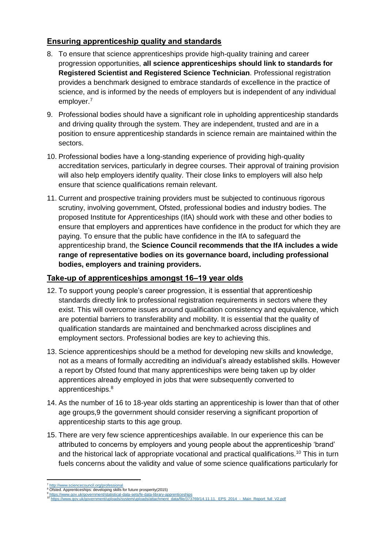# **Ensuring apprenticeship quality and standards**

- 8. To ensure that science apprenticeships provide high-quality training and career progression opportunities, **all science apprenticeships should link to standards for Registered Scientist and Registered Science Technician**. Professional registration provides a benchmark designed to embrace standards of excellence in the practice of science, and is informed by the needs of employers but is independent of any individual employer.<sup>7</sup>
- 9. Professional bodies should have a significant role in upholding apprenticeship standards and driving quality through the system. They are independent, trusted and are in a position to ensure apprenticeship standards in science remain are maintained within the sectors.
- 10. Professional bodies have a long-standing experience of providing high-quality accreditation services, particularly in degree courses. Their approval of training provision will also help employers identify quality. Their close links to employers will also help ensure that science qualifications remain relevant.
- 11. Current and prospective training providers must be subjected to continuous rigorous scrutiny, involving government, Ofsted, professional bodies and industry bodies. The proposed Institute for Apprenticeships (IfA) should work with these and other bodies to ensure that employers and apprentices have confidence in the product for which they are paying. To ensure that the public have confidence in the IfA to safeguard the apprenticeship brand, the **Science Council recommends that the IfA includes a wide range of representative bodies on its governance board, including professional bodies, employers and training providers.**

# **Take-up of apprenticeships amongst 16–19 year olds**

- 12. To support young people's career progression, it is essential that apprenticeship standards directly link to professional registration requirements in sectors where they exist. This will overcome issues around qualification consistency and equivalence, which are potential barriers to transferability and mobility. It is essential that the quality of qualification standards are maintained and benchmarked across disciplines and employment sectors. Professional bodies are key to achieving this.
- 13. Science apprenticeships should be a method for developing new skills and knowledge, not as a means of formally accrediting an individual's already established skills. However a report by Ofsted found that many apprenticeships were being taken up by older apprentices already employed in jobs that were subsequently converted to apprenticeships.<sup>8</sup>
- 14. As the number of 16 to 18-year olds starting an apprenticeship is lower than that of other age groups,9 the government should consider reserving a significant proportion of apprenticeship starts to this age group.
- 15. There are very few science apprenticeships available. In our experience this can be attributed to concerns by employers and young people about the apprenticeship 'brand' and the historical lack of appropriate vocational and practical qualifications.<sup>10</sup> This in turn fuels concerns about the validity and value of some science qualifications particularly for

**<sup>.</sup>** <sup>7</sup> <http://www.sciencecouncil.org/professional><br><sup>8</sup> Ofsted. Apprenticeships: developing skills for future prosperity(2015)

<sup>9</sup> <https://www.gov.uk/government/statistical-data-sets/fe-data-library-apprenticeships>

renticeships<br><sup>data/f</sup>ile/373769/14.11.11.\_EPS\_2014\_-\_Main\_Report\_full\_V2.pdf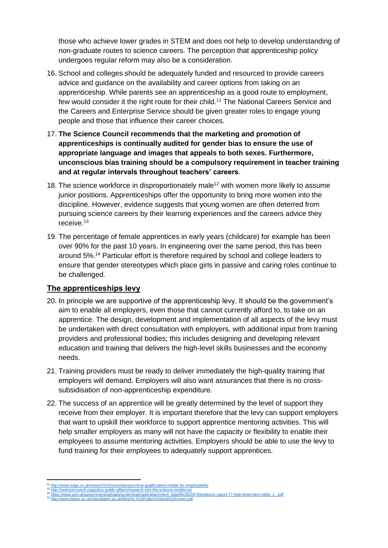those who achieve lower grades in STEM and does not help to develop understanding of non-graduate routes to science careers. The perception that apprenticeship policy undergoes regular reform may also be a consideration.

- 16. School and colleges should be adequately funded and resourced to provide careers advice and guidance on the availability and career options from taking on an apprenticeship. While parents see an apprenticeship as a good route to employment, few would consider it the right route for their child.<sup>11</sup> The National Careers Service and the Careers and Enterprise Service should be given greater roles to engage young people and those that influence their career choices.
- 17. **The Science Council recommends that the marketing and promotion of apprenticeships is continually audited for gender bias to ensure the use of appropriate language and images that appeals to both sexes. Furthermore, unconscious bias training should be a compulsory requirement in teacher training and at regular intervals throughout teachers' careers**.
- 18. The science workforce in disproportionately male<sup>12</sup> with women more likely to assume junior positions. Apprenticeships offer the opportunity to bring more women into the discipline. However, evidence suggests that young women are often deterred from pursuing science careers by their learning experiences and the careers advice they receive.<sup>13</sup>
- 19. The percentage of female apprentices in early years (childcare) for example has been over 90% for the past 10 years. In engineering over the same period, this has been around 5%.<sup>14</sup> Particular effort is therefore required by school and college leaders to ensure that gender stereotypes which place girls in passive and caring roles continue to be challenged.

# **The apprenticeships levy**

- 20. In principle we are supportive of the apprenticeship levy. It should be the government's aim to enable all employers, even those that cannot currently afford to, to take on an apprentice. The design, development and implementation of all aspects of the levy must be undertaken with direct consultation with employers, with additional input from training providers and professional bodies; this includes designing and developing relevant education and training that delivers the high-level skills businesses and the economy needs.
- 21. Training providers must be ready to deliver immediately the high-quality training that employers will demand. Employers will also want assurances that there is no crosssubsidisation of non-apprenticeship expenditure.
- 22. The success of an apprentice will be greatly determined by the level of support they receive from their employer. It is important therefore that the levy can support employers that want to upskill their workforce to support apprentice mentoring activities. This will help smaller employers as many will not have the capacity or flexibility to enable their employees to assume mentoring activities. Employers should be able to use the levy to fund training for their employees to adequately support apprentices.

**.** 

<http://www.edge.co.uk/news/2014/november/practical-qualifications-better-for-employability> <sup>12</sup> <http://sciencecouncil.org/policy-public-affairs/research-into-the-science-workforce/>

<sup>&</sup>lt;sup>13</sup> [https://www.gov.uk/government/uploads/system/uploads/attachment\\_data/file/302973/evidence-report-77-high-level-stem-skills\\_1\\_.pdf](https://www.gov.uk/government/uploads/system/uploads/attachment_data/file/302973/evidence-report-77-high-level-stem-skills_1_.pdf)<br><sup>14</sup> <http://www.llakes.ac.uk/sites/llakes.ac.uk/files/44.%20Fuller%20and%20Unwin.pdf>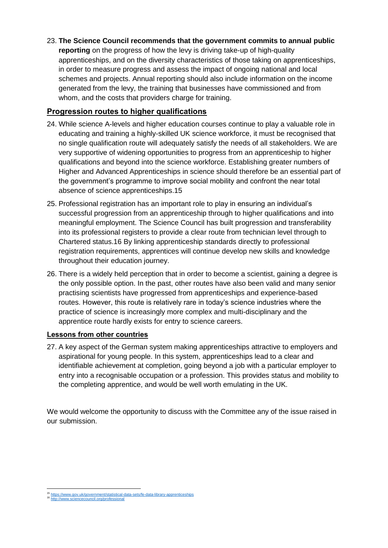23. **The Science Council recommends that the government commits to annual public reporting** on the progress of how the levy is driving take-up of high-quality apprenticeships, and on the diversity characteristics of those taking on apprenticeships, in order to measure progress and assess the impact of ongoing national and local schemes and projects. Annual reporting should also include information on the income generated from the levy, the training that businesses have commissioned and from whom, and the costs that providers charge for training.

### **Progression routes to higher qualifications**

- 24. While science A-levels and higher education courses continue to play a valuable role in educating and training a highly-skilled UK science workforce, it must be recognised that no single qualification route will adequately satisfy the needs of all stakeholders. We are very supportive of widening opportunities to progress from an apprenticeship to higher qualifications and beyond into the science workforce. Establishing greater numbers of Higher and Advanced Apprenticeships in science should therefore be an essential part of the government's programme to improve social mobility and confront the near total absence of science apprenticeships.15
- 25. Professional registration has an important role to play in ensuring an individual's successful progression from an apprenticeship through to higher qualifications and into meaningful employment. The Science Council has built progression and transferability into its professional registers to provide a clear route from technician level through to Chartered status.16 By linking apprenticeship standards directly to professional registration requirements, apprentices will continue develop new skills and knowledge throughout their education journey.
- 26. There is a widely held perception that in order to become a scientist, gaining a degree is the only possible option. In the past, other routes have also been valid and many senior practising scientists have progressed from apprenticeships and experience-based routes. However, this route is relatively rare in today's science industries where the practice of science is increasingly more complex and multi-disciplinary and the apprentice route hardly exists for entry to science careers.

#### **Lessons from other countries**

27. A key aspect of the German system making apprenticeships attractive to employers and aspirational for young people. In this system, apprenticeships lead to a clear and identifiable achievement at completion, going beyond a job with a particular employer to entry into a recognisable occupation or a profession. This provides status and mobility to the completing apprentice, and would be well worth emulating in the UK.

We would welcome the opportunity to discuss with the Committee any of the issue raised in our submission.

 <sup>15</sup> <https://www.gov.uk/government/statistical-data-sets/fe-data-library-apprenticeships> <sup>16</sup> <http://www.sciencecouncil.org/professional>